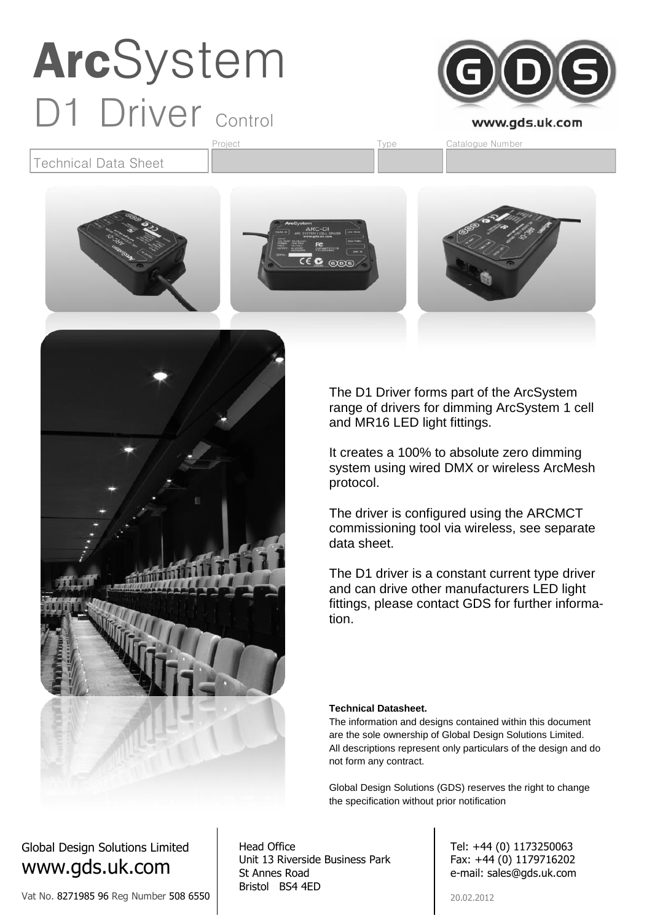

Technical Data Sheet



Project **Type** Catalogue Number



The D1 Driver forms part of the ArcSystem range of drivers for dimming ArcSystem 1 cell and MR16 LED light fittings.

It creates a 100% to absolute zero dimming system using wired DMX or wireless ArcMesh protocol.

The driver is configured using the ARCMCT commissioning tool via wireless, see separate data sheet.

The D1 driver is a constant current type driver and can drive other manufacturers LED light fittings, please contact GDS for further information.

#### **Technical Datasheet.**

The information and designs contained within this document are the sole ownership of Global Design Solutions Limited. All descriptions represent only particulars of the design and do not form any contract.

Global Design Solutions (GDS) reserves the right to change the specification without prior notification

#### Global Design Solutions Limited www.gds.uk.com

Vat No. 8271985 96 Reg Number 508 6550

Head Office Unit 13 Riverside Business Park St Annes Road Bristol BS4 4ED

Tel: +44 (0) 1173250063 Fax: +44 (0) 1179716202 e-mail: sales@gds.uk.com

20.02.2012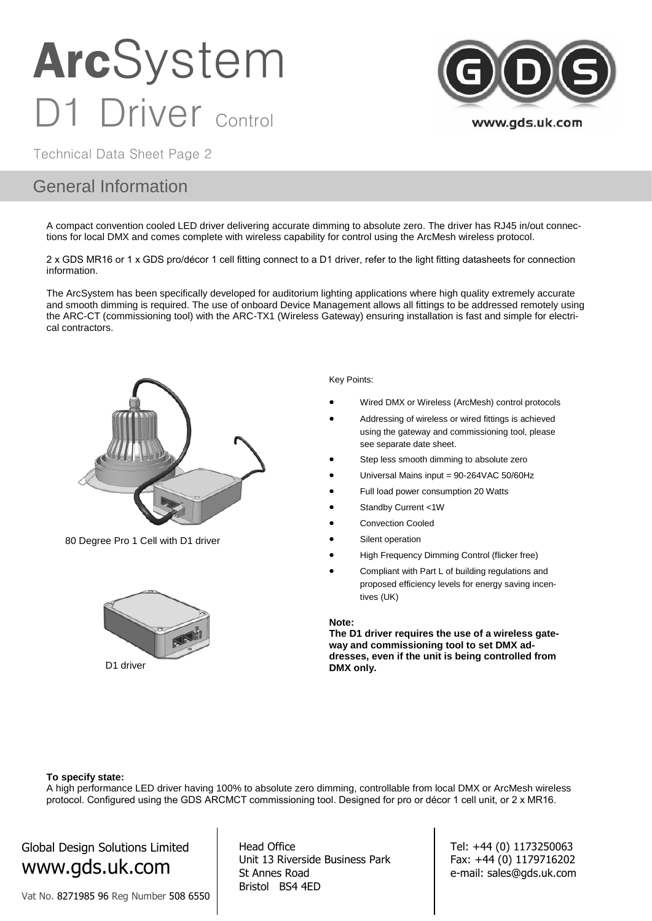

Technical Data Sheet Page 2

#### General Information

A compact convention cooled LED driver delivering accurate dimming to absolute zero. The driver has RJ45 in/out connections for local DMX and comes complete with wireless capability for control using the ArcMesh wireless protocol.

2 x GDS MR16 or 1 x GDS pro/décor 1 cell fitting connect to a D1 driver, refer to the light fitting datasheets for connection information.

The ArcSystem has been specifically developed for auditorium lighting applications where high quality extremely accurate and smooth dimming is required. The use of onboard Device Management allows all fittings to be addressed remotely using the ARC-CT (commissioning tool) with the ARC-TX1 (Wireless Gateway) ensuring installation is fast and simple for electrical contractors.



80 Degree Pro 1 Cell with D1 driver



#### Key Points:

- Wired DMX or Wireless (ArcMesh) control protocols
- Addressing of wireless or wired fittings is achieved using the gateway and commissioning tool, please see separate date sheet.
- Step less smooth dimming to absolute zero
- Universal Mains input = 90-264VAC 50/60Hz
- Full load power consumption 20 Watts
- Standby Current <1W
- Convection Cooled
- Silent operation
- High Frequency Dimming Control (flicker free)
- Compliant with Part L of building regulations and proposed efficiency levels for energy saving incentives (UK)

#### **Note:**

**The D1 driver requires the use of a wireless gateway and commissioning tool to set DMX addresses, even if the unit is being controlled from DMX only.**

#### **To specify state:**

A high performance LED driver having 100% to absolute zero dimming, controllable from local DMX or ArcMesh wireless protocol. Configured using the GDS ARCMCT commissioning tool. Designed for pro or décor 1 cell unit, or 2 x MR16.

Global Design Solutions Limited www.gds.uk.com

Vat No. 8271985 96 Reg Number 508 6550

Head Office Unit 13 Riverside Business Park St Annes Road Bristol BS4 4ED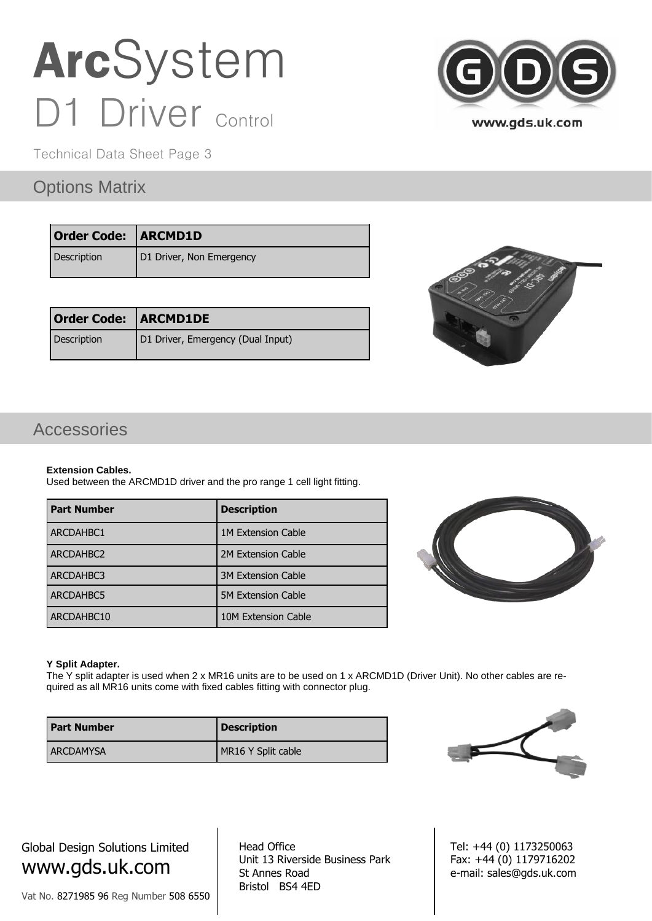Technical Data Sheet Page 3

### Options Matrix

| <b>Order Code: ARCMD1D</b> |                          |
|----------------------------|--------------------------|
| Description                | D1 Driver, Non Emergency |

| <b>Order Code: ARCMD1DE</b> |                                   |  |
|-----------------------------|-----------------------------------|--|
| Description                 | D1 Driver, Emergency (Dual Input) |  |





### Accessories

#### **Extension Cables.**

Used between the ARCMD1D driver and the pro range 1 cell light fitting.

| <b>Part Number</b> | <b>Description</b>        |
|--------------------|---------------------------|
| <b>ARCDAHBC1</b>   | <b>1M Extension Cable</b> |
| ARCDAHBC2          | 2M Extension Cable        |
| <b>ARCDAHBC3</b>   | <b>3M Extension Cable</b> |
| <b>ARCDAHBC5</b>   | <b>5M Extension Cable</b> |
| ARCDAHBC10         | 10M Extension Cable       |



#### **Y Split Adapter.**

The Y split adapter is used when 2 x MR16 units are to be used on 1 x ARCMD1D (Driver Unit). No other cables are required as all MR16 units come with fixed cables fitting with connector plug.

| <b>Part Number</b> | <b>Description</b> |
|--------------------|--------------------|
| <b>LARCDAMYSA</b>  | MR16 Y Split cable |



Global Design Solutions Limited www.gds.uk.com

Vat No. 8271985 96 Reg Number 508 6550

Head Office Unit 13 Riverside Business Park St Annes Road Bristol BS4 4ED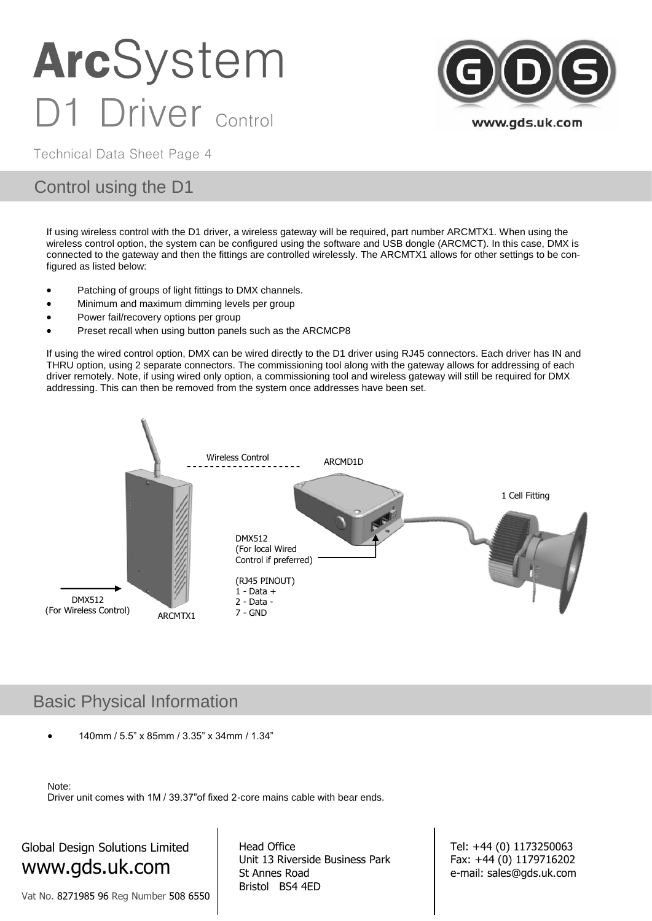

Technical Data Sheet Page 4

#### Control using the D1

If using wireless control with the D1 driver, a wireless gateway will be required, part number ARCMTX1. When using the wireless control option, the system can be configured using the software and USB dongle (ARCMCT). In this case, DMX is connected to the gateway and then the fittings are controlled wirelessly. The ARCMTX1 allows for other settings to be configured as listed below:

- Patching of groups of light fittings to DMX channels.
- Minimum and maximum dimming levels per group
- Power fail/recovery options per group
- Preset recall when using button panels such as the ARCMCP8

If using the wired control option, DMX can be wired directly to the D1 driver using RJ45 connectors. Each driver has IN and THRU option, using 2 separate connectors. The commissioning tool along with the gateway allows for addressing of each driver remotely. Note, if using wired only option, a commissioning tool and wireless gateway will still be required for DMX addressing. This can then be removed from the system once addresses have been set.



#### Basic Physical Information

140mm / 5.5" x 85mm / 3.35" x 34mm / 1.34"

```
Note:
```
Driver unit comes with 1M / 39.37"of fixed 2-core mains cable with bear ends.

### Global Design Solutions Limited www.gds.uk.com

Vat No. 8271985 96 Reg Number 508 6550

Head Office Unit 13 Riverside Business Park St Annes Road Bristol BS4 4ED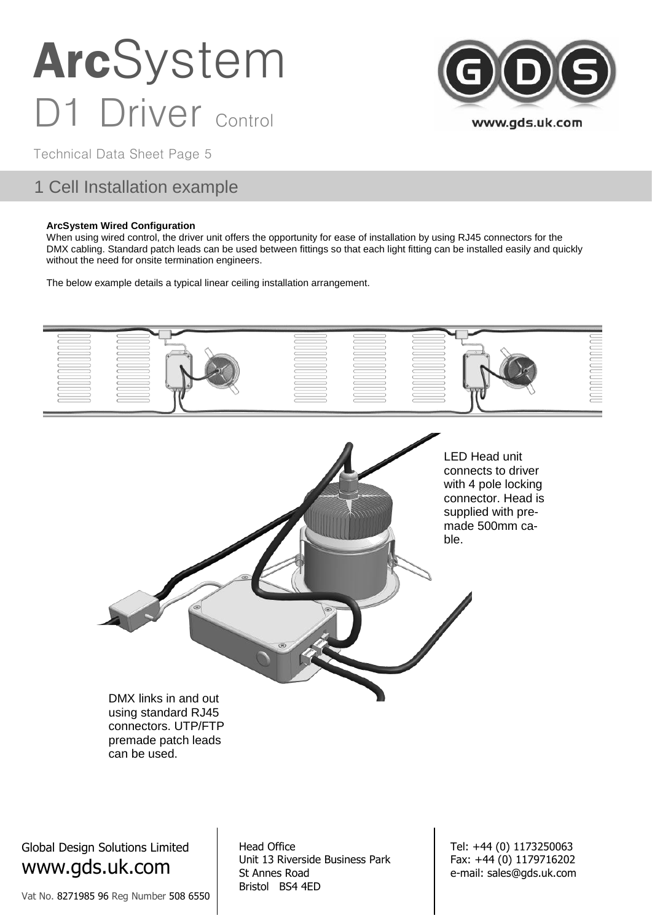

Technical Data Sheet Page 5

### 1 Cell Installation example

#### **ArcSystem Wired Configuration**

When using wired control, the driver unit offers the opportunity for ease of installation by using RJ45 connectors for the DMX cabling. Standard patch leads can be used between fittings so that each light fitting can be installed easily and quickly without the need for onsite termination engineers.

The below example details a typical linear ceiling installation arrangement.



Global Design Solutions Limited www.gds.uk.com

Vat No. 8271985 96 Reg Number 508 6550

Head Office Unit 13 Riverside Business Park St Annes Road Bristol BS4 4ED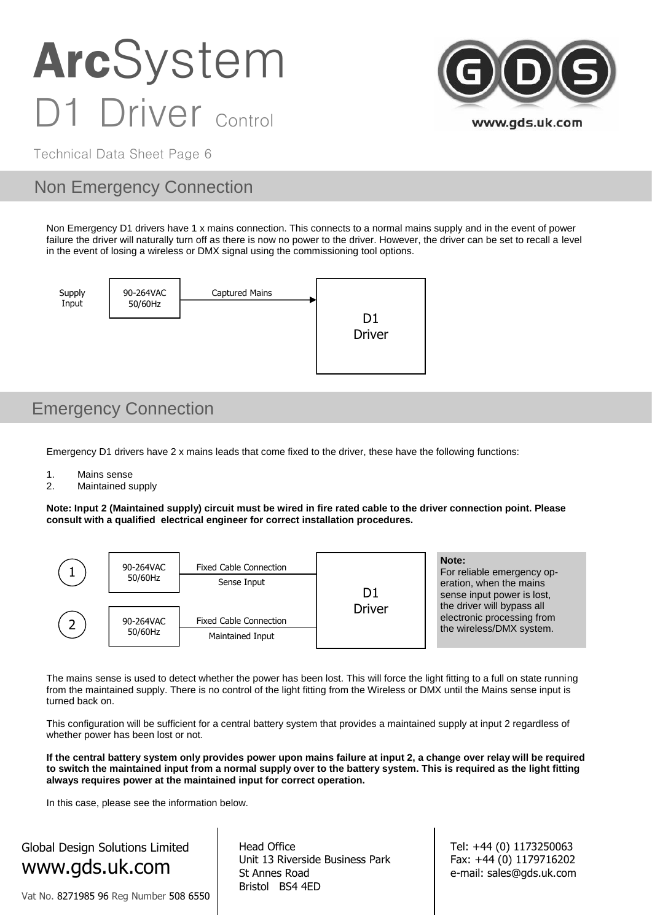

Technical Data Sheet Page 6

### Non Emergency Connection

Non Emergency D1 drivers have 1 x mains connection. This connects to a normal mains supply and in the event of power failure the driver will naturally turn off as there is now no power to the driver. However, the driver can be set to recall a level in the event of losing a wireless or DMX signal using the commissioning tool options.



### Emergency Connection

Emergency D1 drivers have 2 x mains leads that come fixed to the driver, these have the following functions:

1. Mains sense<br>2. Maintained s

Maintained supply

**Note: Input 2 (Maintained supply) circuit must be wired in fire rated cable to the driver connection point. Please consult with a qualified electrical engineer for correct installation procedures.**



The mains sense is used to detect whether the power has been lost. This will force the light fitting to a full on state running from the maintained supply. There is no control of the light fitting from the Wireless or DMX until the Mains sense input is turned back on.

This configuration will be sufficient for a central battery system that provides a maintained supply at input 2 regardless of whether power has been lost or not.

**If the central battery system only provides power upon mains failure at input 2, a change over relay will be required to switch the maintained input from a normal supply over to the battery system. This is required as the light fitting always requires power at the maintained input for correct operation.**

In this case, please see the information below.

Global Design Solutions Limited www.gds.uk.com

Vat No. 8271985 96 Reg Number 508 6550

Head Office Unit 13 Riverside Business Park St Annes Road Bristol BS4 4ED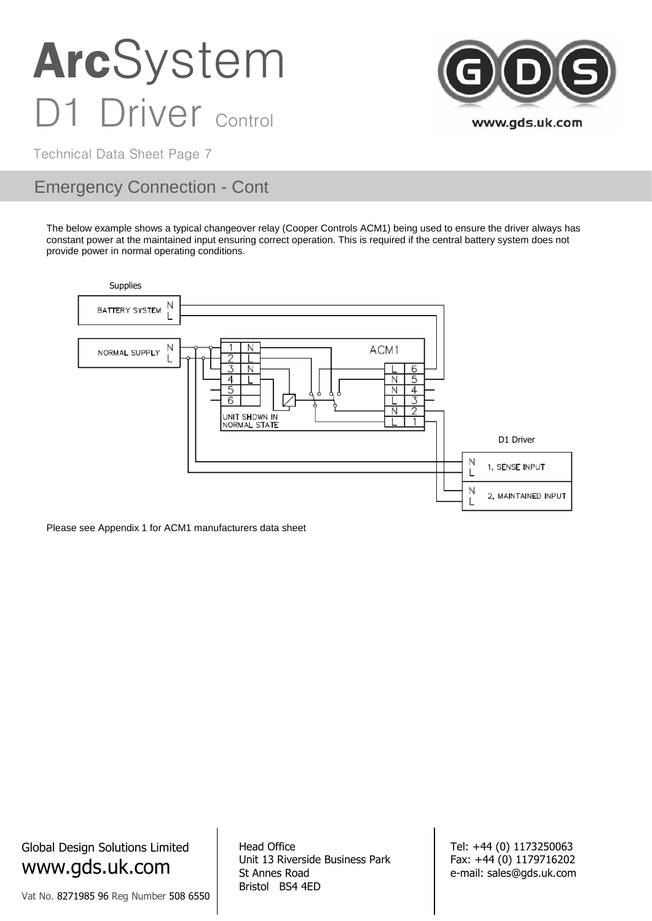

Technical Data Sheet Page 7

### Emergency Connection - Cont

The below example shows a typical changeover relay (Cooper Controls ACM1) being used to ensure the driver always has constant power at the maintained input ensuring correct operation. This is required if the central battery system does not provide power in normal operating conditions.



Please see Appendix 1 for ACM1 manufacturers data sheet

Global Design Solutions Limited www.gds.uk.com

Vat No. 8271985 96 Reg Number 508 6550

Head Office Unit 13 Riverside Business Park St Annes Road Bristol BS4 4ED